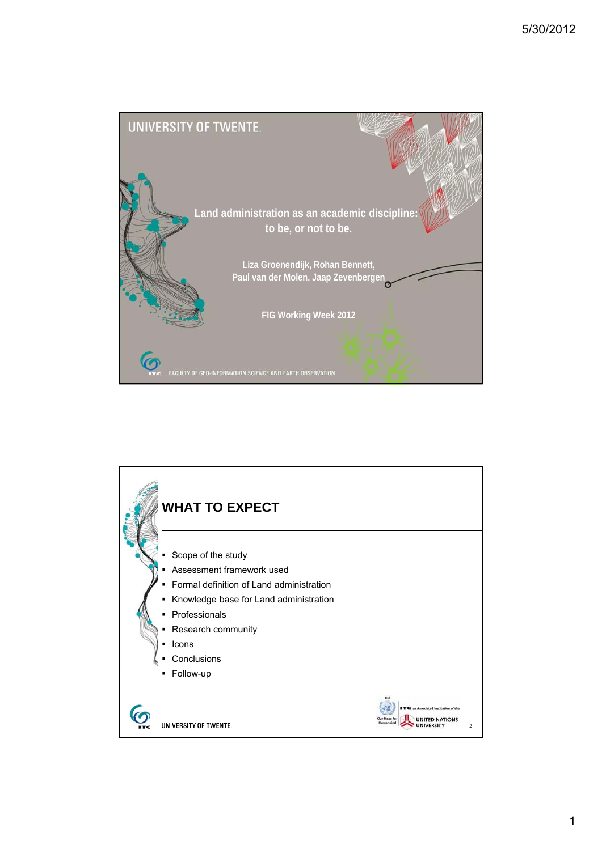

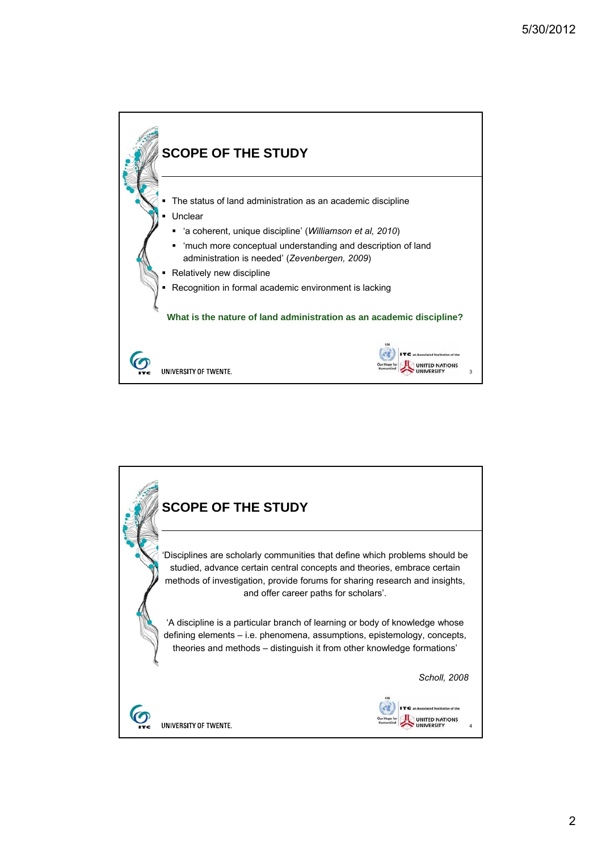

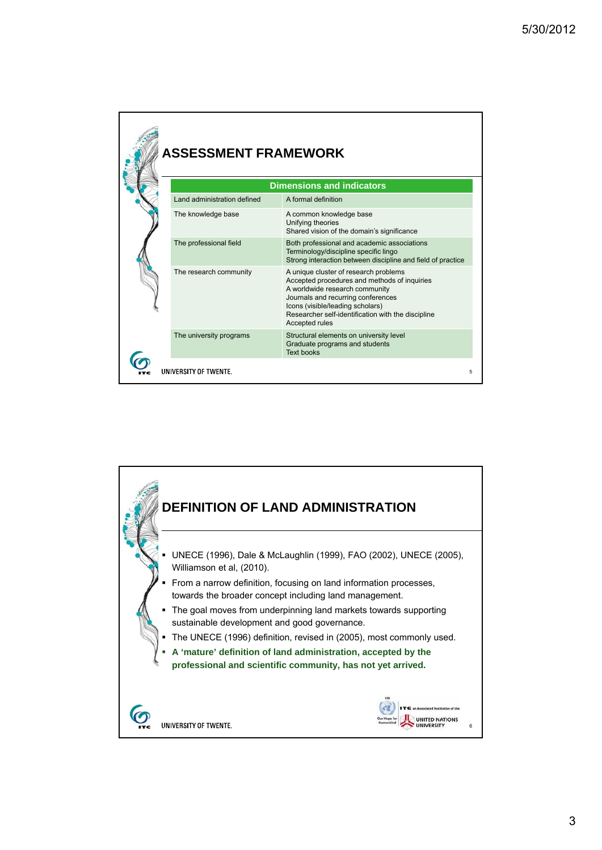|  | <b>ASSESSMENT FRAMEWORK</b> |                                                                                                                                                                                                                                                                           |  |
|--|-----------------------------|---------------------------------------------------------------------------------------------------------------------------------------------------------------------------------------------------------------------------------------------------------------------------|--|
|  |                             | <b>Dimensions and indicators</b>                                                                                                                                                                                                                                          |  |
|  | Land administration defined | A formal definition                                                                                                                                                                                                                                                       |  |
|  | The knowledge base          | A common knowledge base<br>Unifying theories<br>Shared vision of the domain's significance                                                                                                                                                                                |  |
|  | The professional field      | Both professional and academic associations<br>Terminology/discipline specific lingo<br>Strong interaction between discipline and field of practice                                                                                                                       |  |
|  | The research community      | A unique cluster of research problems<br>Accepted procedures and methods of inquiries<br>A worldwide research community<br>Journals and recurring conferences<br>Icons (visible/leading scholars)<br>Researcher self-identification with the discipline<br>Accepted rules |  |
|  | The university programs     | Structural elements on university level<br>Graduate programs and students<br><b>Text books</b>                                                                                                                                                                            |  |
|  | UNIVERSITY OF TWENTE.       | 5                                                                                                                                                                                                                                                                         |  |

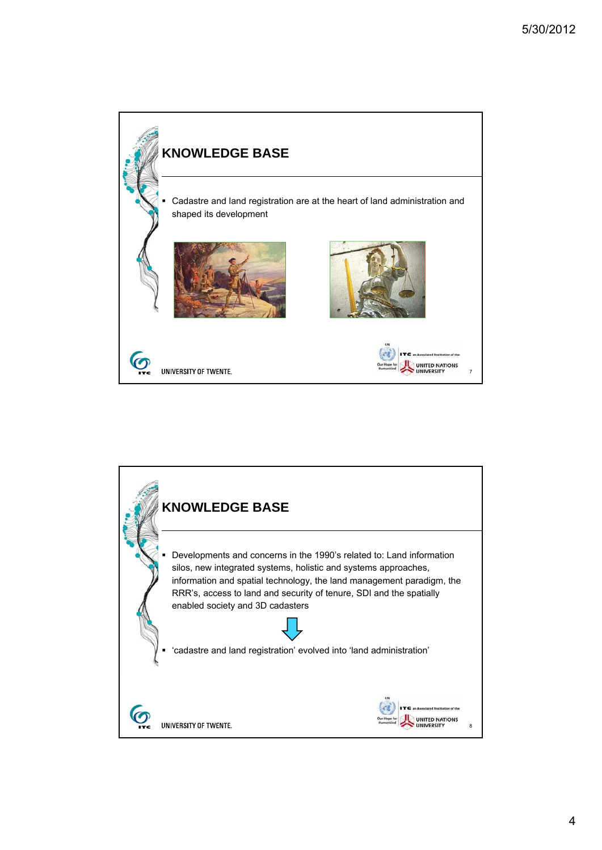

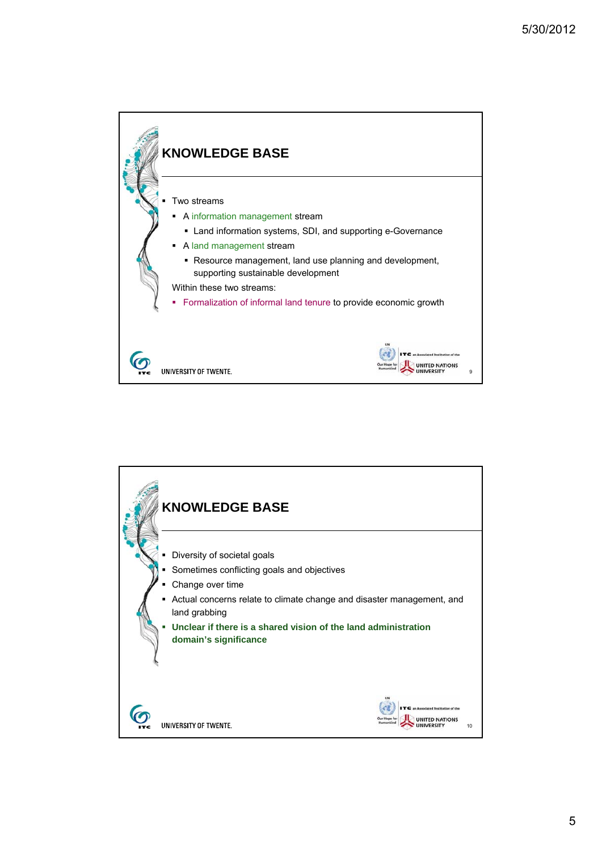

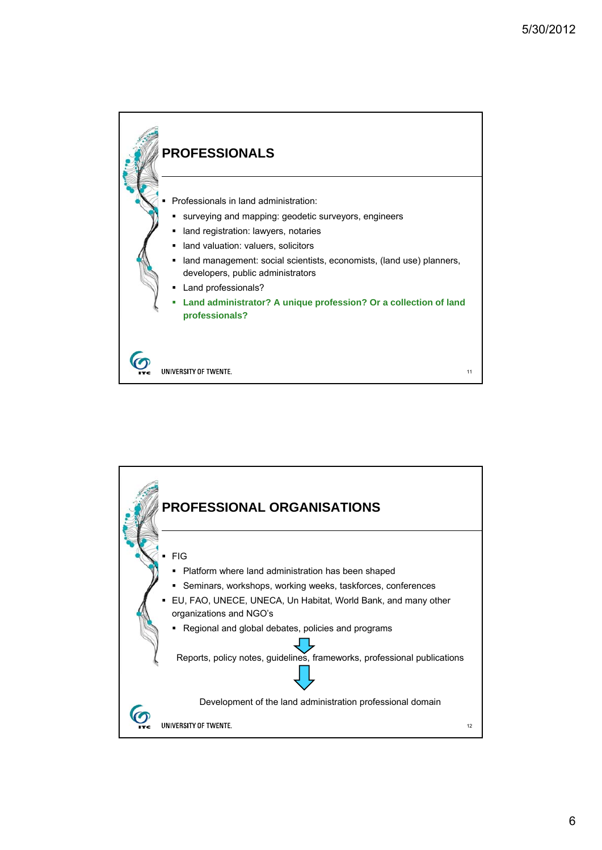

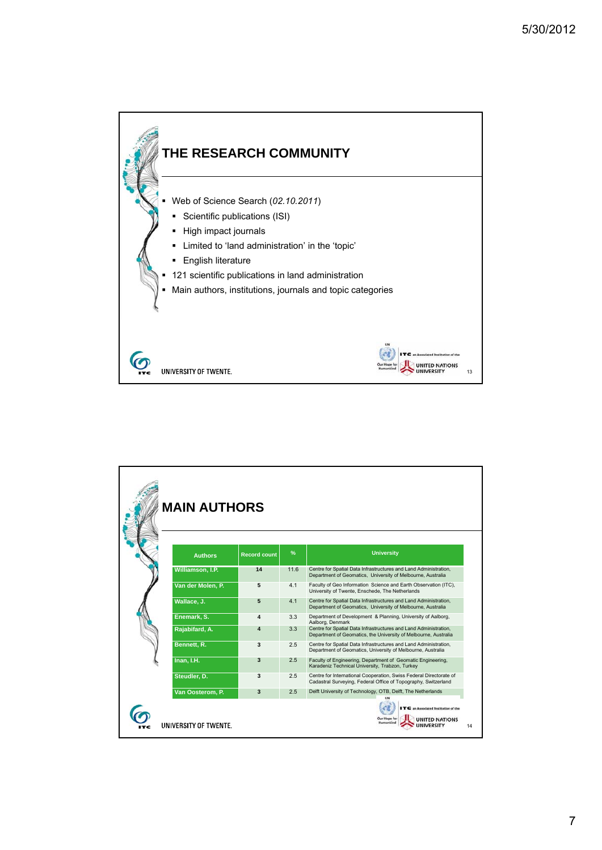

| <b>MAIN AUTHORS</b>   |                     |      |                                                                                                                                      |
|-----------------------|---------------------|------|--------------------------------------------------------------------------------------------------------------------------------------|
| <b>Authors</b>        | <b>Record count</b> | %    | <b>University</b>                                                                                                                    |
| Williamson, I.P.      | 14                  | 11.6 | Centre for Spatial Data Infrastructures and Land Administration,<br>Department of Geomatics, University of Melbourne, Australia      |
| Van der Molen, P.     | 5                   | 4.1  | Faculty of Geo Information Science and Earth Observation (ITC),<br>University of Twente, Enschede, The Netherlands                   |
| Wallace, J.           | 5                   | 4.1  | Centre for Spatial Data Infrastructures and Land Administration,<br>Department of Geomatics, University of Melbourne, Australia      |
| Enemark, S.           | 4                   | 3.3  | Department of Development & Planning, University of Aalborg,<br>Aalborg, Denmark                                                     |
| Rajabifard, A.        | 4                   | 3.3  | Centre for Spatial Data Infrastructures and Land Administration,<br>Department of Geomatics, the University of Melbourne, Australia  |
| Bennett, R.           | 3                   | 2.5  | Centre for Spatial Data Infrastructures and Land Administration,<br>Department of Geomatics, University of Melbourne, Australia      |
| Inan, I.H.            | 3                   | 2.5  | Faculty of Engineering, Department of Geomatic Engineering,<br>Karadeniz Technical University, Trabzon, Turkey                       |
| Steudler, D.          | 3                   | 2.5  | Centre for International Cooperation, Swiss Federal Directorate of<br>Cadastral Surveying, Federal Office of Topography, Switzerland |
| Van Oosterom, P.      | 3                   | 2.5  | Delft University of Technology, OTB, Delft, The Netherlands                                                                          |
| UNIVERSITY OF TWENTE. |                     |      | C an Associated Institution of the<br>Our Hope for<br><b>Aumanking</b>                                                               |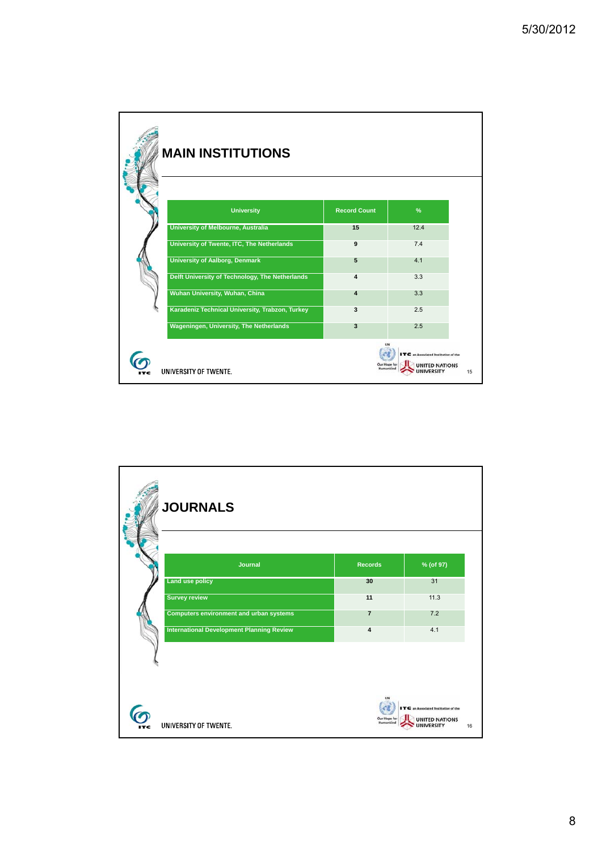| <b>MAIN INSTITUTIONS</b>                        |                           |                                                          |    |
|-------------------------------------------------|---------------------------|----------------------------------------------------------|----|
| <b>University</b>                               | <b>Record Count</b>       | $\%$                                                     |    |
| University of Melbourne, Australia              | 15                        | 12.4                                                     |    |
| University of Twente, ITC, The Netherlands      | 9                         | 7.4                                                      |    |
| <b>University of Aalborg, Denmark</b>           | 5                         | 4.1                                                      |    |
| Delft University of Technology, The Netherlands | $\overline{\mathbf{4}}$   | 3.3                                                      |    |
| Wuhan University, Wuhan, China                  | $\overline{4}$            | 3.3                                                      |    |
| Karadeniz Technical University, Trabzon, Turkey | 3                         | 2.5                                                      |    |
| Wageningen, University, The Netherlands         | $\overline{\mathbf{3}}$   | 2.5                                                      |    |
| UNIVERSITY OF TWENTE.                           | Our Hope for<br>Humanking | an Associated Institution of the<br><b>NITED NATIONS</b> | 15 |

| <b>JOURNALS</b>                                  |                           |                                                                          |
|--------------------------------------------------|---------------------------|--------------------------------------------------------------------------|
| Journal                                          | <b>Records</b>            | % (of 97)                                                                |
| <b>Land use policy</b>                           | 30                        | 31                                                                       |
| <b>Survey review</b>                             | 11                        | 11.3                                                                     |
| <b>Computers environment and urban systems</b>   | $\overline{7}$            | 7.2                                                                      |
| <b>International Development Planning Review</b> | $\overline{\mathbf{4}}$   | 4.1                                                                      |
| UNIVERSITY OF TWENTE.                            | Our Hope for<br>Humankind | an Associated Institution of the<br><b>UNITED NATIONS</b><br>16<br>RSITY |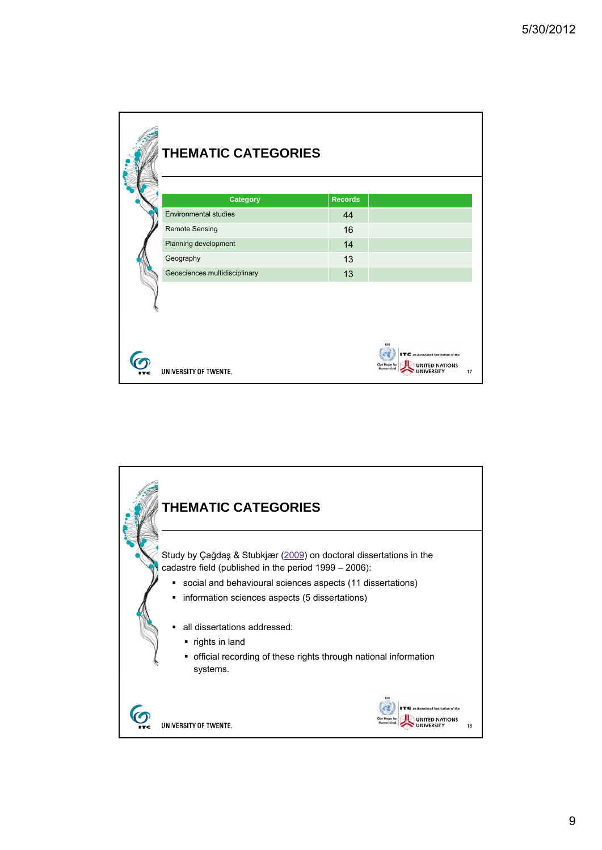| <b>THEMATIC CATEGORIES</b>    |                |                                                                                          |  |
|-------------------------------|----------------|------------------------------------------------------------------------------------------|--|
| <b>Category</b>               | <b>Records</b> |                                                                                          |  |
| <b>Environmental studies</b>  | 44             |                                                                                          |  |
| Remote Sensing                | 16             |                                                                                          |  |
| Planning development          | 14             |                                                                                          |  |
| Geography                     | 13             |                                                                                          |  |
| Geosciences multidisciplinary | 13             |                                                                                          |  |
| UNIVERSITY OF TWENTE.         |                | C an Associated Institution of the<br><b>Our Hope for</b><br><b>UNITED NATIONS</b><br>17 |  |

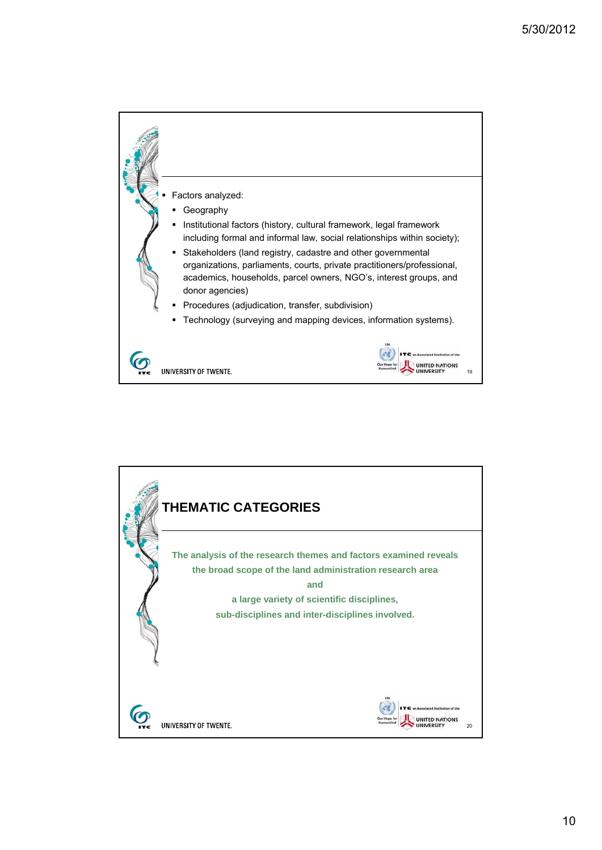

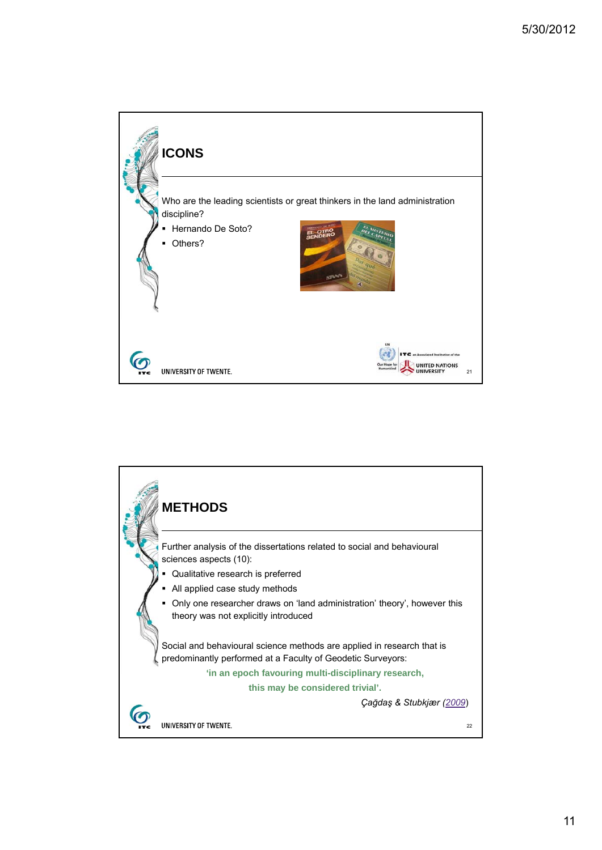

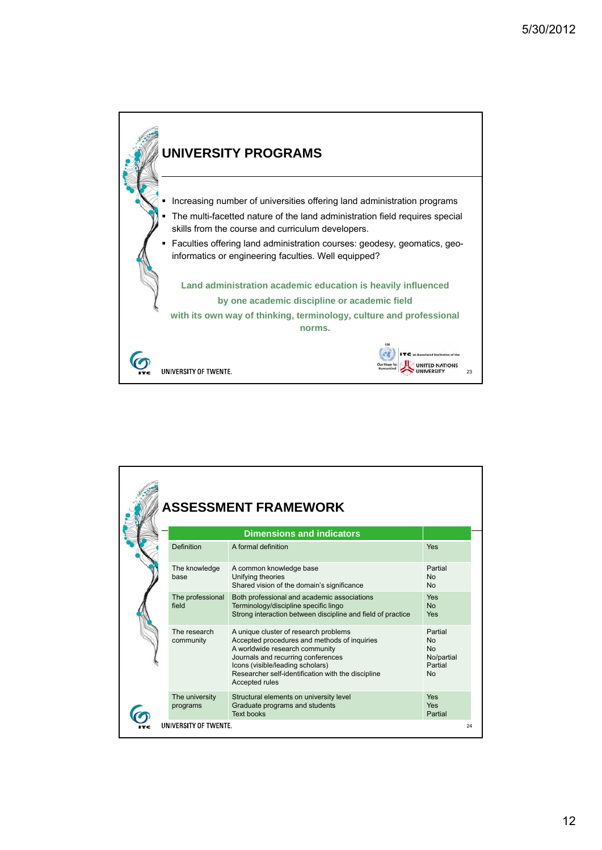

|  |                            | <b>ASSESSMENT FRAMEWORK</b><br><b>Dimensions and indicators</b>                                                                                                                                                                                                           |                                                                         |
|--|----------------------------|---------------------------------------------------------------------------------------------------------------------------------------------------------------------------------------------------------------------------------------------------------------------------|-------------------------------------------------------------------------|
|  | Definition                 | A formal definition                                                                                                                                                                                                                                                       | Yes                                                                     |
|  | The knowledge<br>base      | A common knowledge base<br>Unifying theories<br>Shared vision of the domain's significance                                                                                                                                                                                | Partial<br>N <sub>0</sub><br><b>No</b>                                  |
|  | The professional<br>field  | Both professional and academic associations<br>Terminology/discipline specific lingo<br>Strong interaction between discipline and field of practice                                                                                                                       | Yes<br><b>No</b><br>Yes                                                 |
|  | The research<br>community  | A unique cluster of research problems<br>Accepted procedures and methods of inquiries<br>A worldwide research community<br>Journals and recurring conferences<br>Icons (visible/leading scholars)<br>Researcher self-identification with the discipline<br>Accepted rules | Partial<br><b>No</b><br><b>No</b><br>No/partial<br>Partial<br><b>No</b> |
|  | The university<br>programs | Structural elements on university level<br>Graduate programs and students<br><b>Text books</b>                                                                                                                                                                            | Yes<br><b>Yes</b><br>Partial                                            |
|  | UNIVERSITY OF TWENTE.      |                                                                                                                                                                                                                                                                           | 24                                                                      |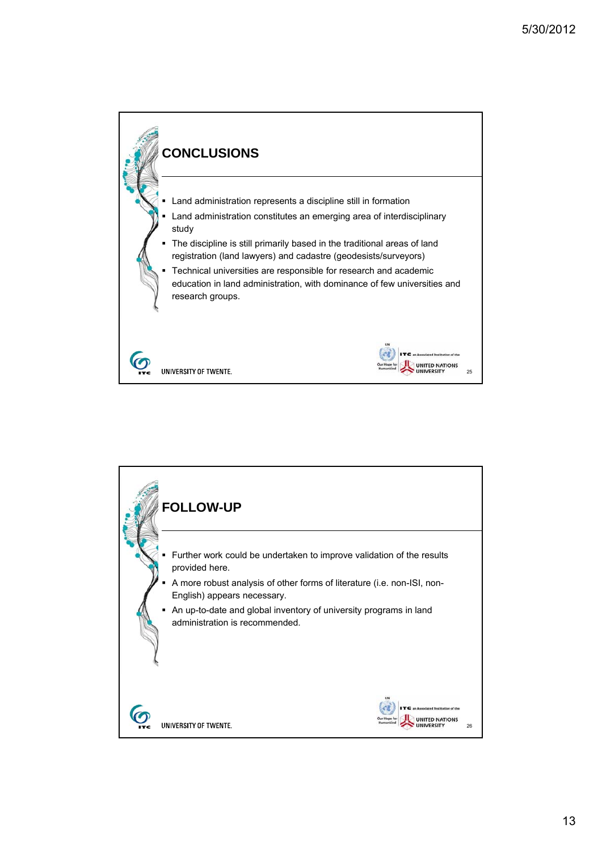